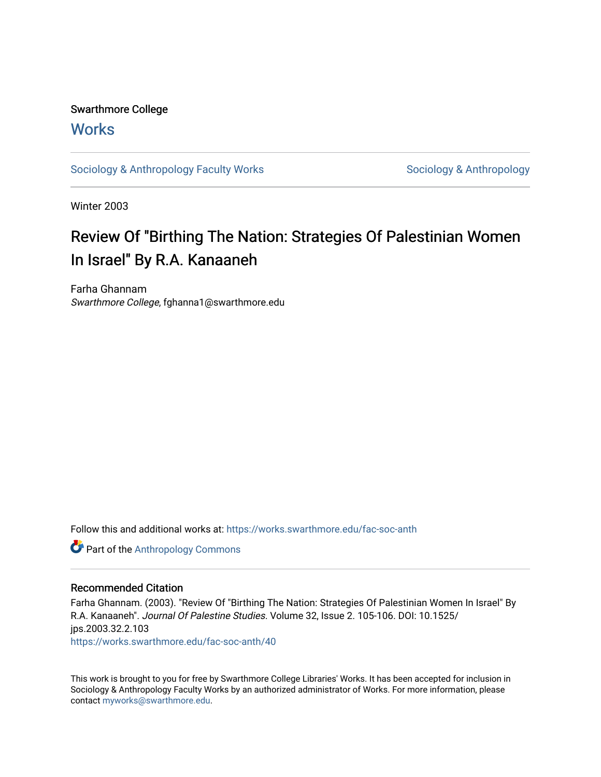## Swarthmore College

### **Works**

[Sociology & Anthropology Faculty Works](https://works.swarthmore.edu/fac-soc-anth) [Sociology & Anthropology](https://works.swarthmore.edu/soc-anth) & Anthropology

Winter 2003

# Review Of "Birthing The Nation: Strategies Of Palestinian Women In Israel" By R.A. Kanaaneh

Farha Ghannam Swarthmore College, fghanna1@swarthmore.edu

Follow this and additional works at: [https://works.swarthmore.edu/fac-soc-anth](https://works.swarthmore.edu/fac-soc-anth?utm_source=works.swarthmore.edu%2Ffac-soc-anth%2F40&utm_medium=PDF&utm_campaign=PDFCoverPages) 

Part of the [Anthropology Commons](http://network.bepress.com/hgg/discipline/318?utm_source=works.swarthmore.edu%2Ffac-soc-anth%2F40&utm_medium=PDF&utm_campaign=PDFCoverPages)

### Recommended Citation

Farha Ghannam. (2003). "Review Of "Birthing The Nation: Strategies Of Palestinian Women In Israel" By R.A. Kanaaneh". Journal Of Palestine Studies. Volume 32, Issue 2. 105-106. DOI: 10.1525/ jps.2003.32.2.103 <https://works.swarthmore.edu/fac-soc-anth/40>

This work is brought to you for free by Swarthmore College Libraries' Works. It has been accepted for inclusion in Sociology & Anthropology Faculty Works by an authorized administrator of Works. For more information, please contact [myworks@swarthmore.edu](mailto:myworks@swarthmore.edu).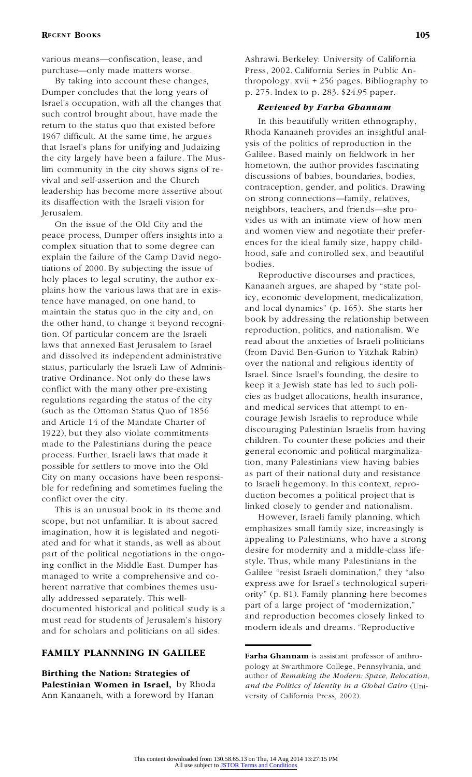# **RECENT BOOKS** 105

various means—confiscation, lease, and purchase—only made matters worse.

By taking into account these changes, Dumper concludes that the long years of Israel's occupation, with all the changes that such control brought about, have made the return to the status quo that existed before 1967 difficult. At the same time, he argues that Israel's plans for unifying and Judaizing the city largely have been a failure. The Muslim community in the city shows signs of revival and self-assertion and the Church leadership has become more assertive about its disaffection with the Israeli vision for Jerusalem.

On the issue of the Old City and the peace process, Dumper offers insights into a complex situation that to some degree can explain the failure of the Camp David negotiations of 2000. By subjecting the issue of holy places to legal scrutiny, the author explains how the various laws that are in existence have managed, on one hand, to maintain the status quo in the city and, on the other hand, to change it beyond recognition. Of particular concern are the Israeli laws that annexed East Jerusalem to Israel and dissolved its independent administrative status, particularly the Israeli Law of Administrative Ordinance. Not only do these laws conflict with the many other pre-existing regulations regarding the status of the city (such as the Ottoman Status Quo of 1856 and Article 14 of the Mandate Charter of 1922), but they also violate commitments made to the Palestinians during the peace process. Further, Israeli laws that made it possible for settlers to move into the Old City on many occasions have been responsible for redefining and sometimes fueling the conflict over the city.

This is an unusual book in its theme and scope, but not unfamiliar. It is about sacred imagination, how it is legislated and negotiated and for what it stands, as well as about part of the political negotiations in the ongoing conflict in the Middle East. Dumper has managed to write a comprehensive and coherent narrative that combines themes usually addressed separately. This welldocumented historical and political study is a must read for students of Jerusalem's history and for scholars and politicians on all sides.

### **FAMILY PLANNNING IN GALILEE**

**Birthing the Nation: Strategies of Palestinian Women in Israel,** by Rhoda Ann Kanaaneh, with a foreword by Hanan

Ashrawi. Berkeley: University of California Press, 2002. California Series in Public Anthropology. xvii + 256 pages. Bibliography to p. 275. Index to p. 283. \$24.95 paper.

#### *Reviewed by Farha Ghannam*

In this beautifully written ethnography, Rhoda Kanaaneh provides an insightful analysis of the politics of reproduction in the Galilee. Based mainly on fieldwork in her hometown, the author provides fascinating discussions of babies, boundaries, bodies, contraception, gender, and politics. Drawing on strong connections—family, relatives, neighbors, teachers, and friends—she provides us with an intimate view of how men and women view and negotiate their preferences for the ideal family size, happy childhood, safe and controlled sex, and beautiful bodies.

Reproductive discourses and practices, Kanaaneh argues, are shaped by "state policy, economic development, medicalization, and local dynamics" (p. 165). She starts her book by addressing the relationship between reproduction, politics, and nationalism. We read about the anxieties of Israeli politicians (from David Ben-Gurion to Yitzhak Rabin) over the national and religious identity of Israel. Since Israel's founding, the desire to keep it a Jewish state has led to such policies as budget allocations, health insurance, and medical services that attempt to encourage Jewish Israelis to reproduce while discouraging Palestinian Israelis from having children. To counter these policies and their general economic and political marginalization, many Palestinians view having babies as part of their national duty and resistance to Israeli hegemony. In this context, reproduction becomes a political project that is linked closely to gender and nationalism.

However, Israeli family planning, which emphasizes small family size, increasingly is appealing to Palestinians, who have a strong desire for modernity and a middle-class lifestyle. Thus, while many Palestinians in the Galilee "resist Israeli domination," they "also express awe for Israel's technological superiority" (p. 81). Family planning here becomes part of a large project of "modernization," and reproduction becomes closely linked to modern ideals and dreams. "Reproductive

**Farha Ghannam** is assistant professor of anthropology at Swarthmore College, Pennsylvania, and author of *Remaking the Modern: Space, Relocation, and the Politics of Identity in a Global Cairo* (University of California Press, 2002).